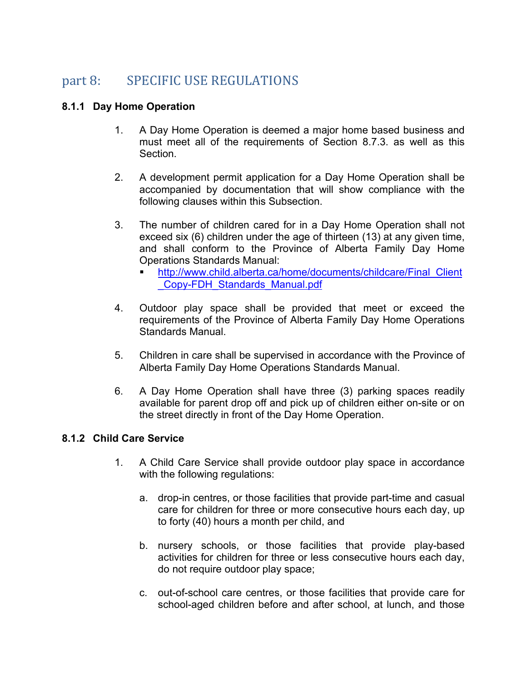# part 8: SPECIFIC USE REGULATIONS

## **8.1.1 Day Home Operation**

- 1. A Day Home Operation is deemed a major home based business and must meet all of the requirements of Section 8.7.3. as well as this Section.
- 2. A development permit application for a Day Home Operation shall be accompanied by documentation that will show compliance with the following clauses within this Subsection.
- 3. The number of children cared for in a Day Home Operation shall not exceed six (6) children under the age of thirteen (13) at any given time, and shall conform to the Province of Alberta Family Day Home Operations Standards Manual:
	- [http://www.child.alberta.ca/home/documents/childcare/Final\\_Client](http://www.child.alberta.ca/home/documents/childcare/Final_Client_Copy-FDH_Standards_Manual.pdf) [\\_Copy-FDH\\_Standards\\_Manual.pdf](http://www.child.alberta.ca/home/documents/childcare/Final_Client_Copy-FDH_Standards_Manual.pdf)
- 4. Outdoor play space shall be provided that meet or exceed the requirements of the Province of Alberta Family Day Home Operations Standards Manual.
- 5. Children in care shall be supervised in accordance with the Province of Alberta Family Day Home Operations Standards Manual.
- 6. A Day Home Operation shall have three (3) parking spaces readily available for parent drop off and pick up of children either on-site or on the street directly in front of the Day Home Operation.

#### **8.1.2 Child Care Service**

- 1. A Child Care Service shall provide outdoor play space in accordance with the following regulations:
	- a. drop-in centres, or those facilities that provide part-time and casual care for children for three or more consecutive hours each day, up to forty (40) hours a month per child, and
	- b. nursery schools, or those facilities that provide play-based activities for children for three or less consecutive hours each day, do not require outdoor play space;
	- c. out-of-school care centres, or those facilities that provide care for school-aged children before and after school, at lunch, and those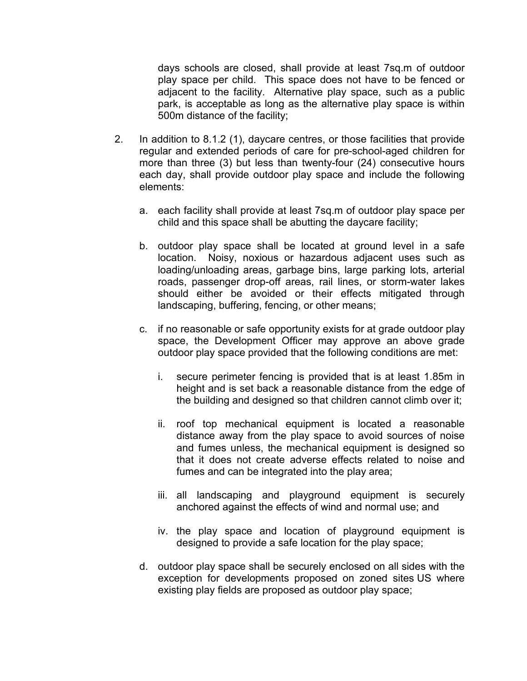days schools are closed, shall provide at least 7sq.m of outdoor play space per child. This space does not have to be fenced or adjacent to the facility. Alternative play space, such as a public park, is acceptable as long as the alternative play space is within 500m distance of the facility;

- 2. In addition to 8.1.2 (1), daycare centres, or those facilities that provide regular and extended periods of care for pre-school-aged children for more than three (3) but less than twenty-four (24) consecutive hours each day, shall provide outdoor play space and include the following elements:
	- a. each facility shall provide at least 7sq.m of outdoor play space per child and this space shall be abutting the daycare facility;
	- b. outdoor play space shall be located at ground level in a safe location. Noisy, noxious or hazardous adjacent uses such as loading/unloading areas, garbage bins, large parking lots, arterial roads, passenger drop-off areas, rail lines, or storm-water lakes should either be avoided or their effects mitigated through landscaping, buffering, fencing, or other means;
	- c. if no reasonable or safe opportunity exists for at grade outdoor play space, the Development Officer may approve an above grade outdoor play space provided that the following conditions are met:
		- i. secure perimeter fencing is provided that is at least 1.85m in height and is set back a reasonable distance from the edge of the building and designed so that children cannot climb over it;
		- ii. roof top mechanical equipment is located a reasonable distance away from the play space to avoid sources of noise and fumes unless, the mechanical equipment is designed so that it does not create adverse effects related to noise and fumes and can be integrated into the play area;
		- iii. all landscaping and playground equipment is securely anchored against the effects of wind and normal use; and
		- iv. the play space and location of playground equipment is designed to provide a safe location for the play space;
	- d. outdoor play space shall be securely enclosed on all sides with the exception for developments proposed on zoned sites US where existing play fields are proposed as outdoor play space;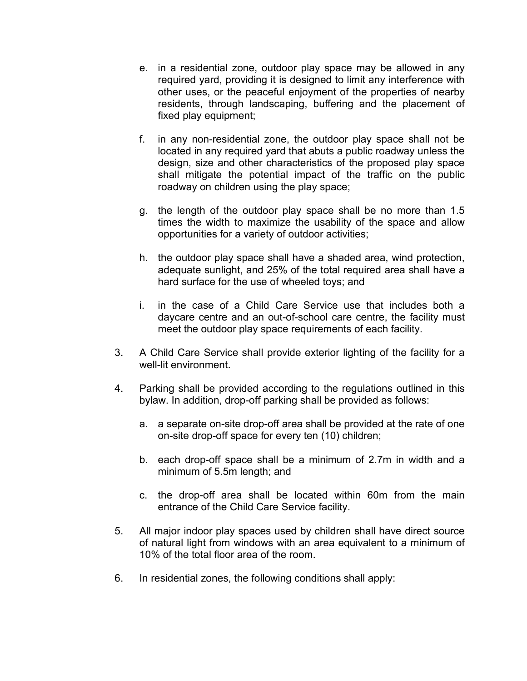- e. in a residential zone, outdoor play space may be allowed in any required yard, providing it is designed to limit any interference with other uses, or the peaceful enjoyment of the properties of nearby residents, through landscaping, buffering and the placement of fixed play equipment;
- f. in any non-residential zone, the outdoor play space shall not be located in any required yard that abuts a public roadway unless the design, size and other characteristics of the proposed play space shall mitigate the potential impact of the traffic on the public roadway on children using the play space;
- g. the length of the outdoor play space shall be no more than 1.5 times the width to maximize the usability of the space and allow opportunities for a variety of outdoor activities;
- h. the outdoor play space shall have a shaded area, wind protection, adequate sunlight, and 25% of the total required area shall have a hard surface for the use of wheeled toys; and
- i. in the case of a Child Care Service use that includes both a daycare centre and an out-of-school care centre, the facility must meet the outdoor play space requirements of each facility.
- 3. A Child Care Service shall provide exterior lighting of the facility for a well-lit environment.
- 4. Parking shall be provided according to the regulations outlined in this bylaw. In addition, drop-off parking shall be provided as follows:
	- a. a separate on-site drop-off area shall be provided at the rate of one on-site drop-off space for every ten (10) children;
	- b. each drop-off space shall be a minimum of 2.7m in width and a minimum of 5.5m length; and
	- c. the drop-off area shall be located within 60m from the main entrance of the Child Care Service facility.
- 5. All major indoor play spaces used by children shall have direct source of natural light from windows with an area equivalent to a minimum of 10% of the total floor area of the room.
- 6. In residential zones, the following conditions shall apply: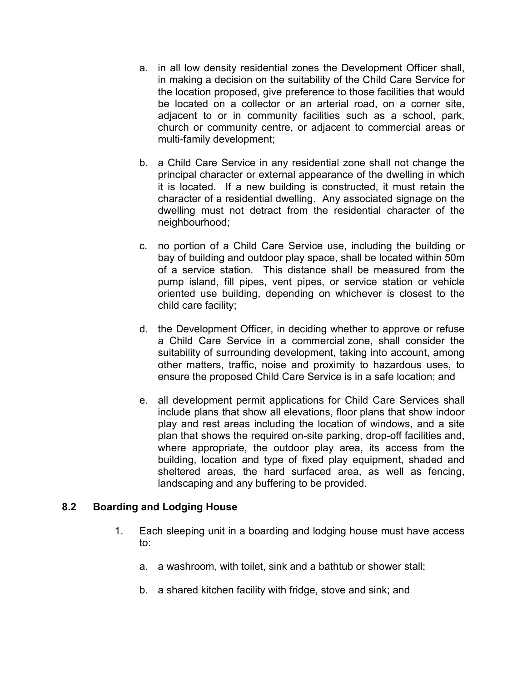- a. in all low density residential zones the Development Officer shall, in making a decision on the suitability of the Child Care Service for the location proposed, give preference to those facilities that would be located on a collector or an arterial road, on a corner site, adjacent to or in community facilities such as a school, park, church or community centre, or adjacent to commercial areas or multi-family development;
- b. a Child Care Service in any residential zone shall not change the principal character or external appearance of the dwelling in which it is located. If a new building is constructed, it must retain the character of a residential dwelling. Any associated signage on the dwelling must not detract from the residential character of the neighbourhood;
- c. no portion of a Child Care Service use, including the building or bay of building and outdoor play space, shall be located within 50m of a service station. This distance shall be measured from the pump island, fill pipes, vent pipes, or service station or vehicle oriented use building, depending on whichever is closest to the child care facility;
- d. the Development Officer, in deciding whether to approve or refuse a Child Care Service in a commercial zone, shall consider the suitability of surrounding development, taking into account, among other matters, traffic, noise and proximity to hazardous uses, to ensure the proposed Child Care Service is in a safe location; and
- e. all development permit applications for Child Care Services shall include plans that show all elevations, floor plans that show indoor play and rest areas including the location of windows, and a site plan that shows the required on-site parking, drop-off facilities and, where appropriate, the outdoor play area, its access from the building, location and type of fixed play equipment, shaded and sheltered areas, the hard surfaced area, as well as fencing, landscaping and any buffering to be provided.

#### **8.2 Boarding and Lodging House**

- 1. Each sleeping unit in a boarding and lodging house must have access to:
	- a. a washroom, with toilet, sink and a bathtub or shower stall;
	- b. a shared kitchen facility with fridge, stove and sink; and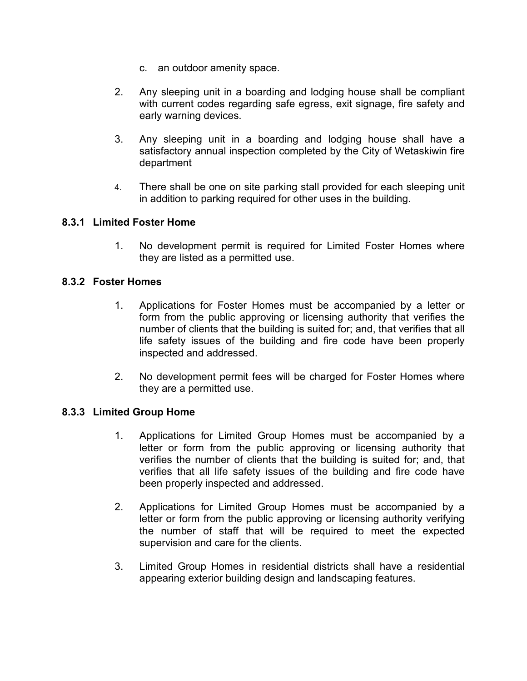- c. an outdoor amenity space.
- 2. Any sleeping unit in a boarding and lodging house shall be compliant with current codes regarding safe egress, exit signage, fire safety and early warning devices.
- 3. Any sleeping unit in a boarding and lodging house shall have a satisfactory annual inspection completed by the City of Wetaskiwin fire department
- 4. There shall be one on site parking stall provided for each sleeping unit in addition to parking required for other uses in the building.

## **8.3.1 Limited Foster Home**

1. No development permit is required for Limited Foster Homes where they are listed as a permitted use.

## **8.3.2 Foster Homes**

- 1. Applications for Foster Homes must be accompanied by a letter or form from the public approving or licensing authority that verifies the number of clients that the building is suited for; and, that verifies that all life safety issues of the building and fire code have been properly inspected and addressed.
- 2. No development permit fees will be charged for Foster Homes where they are a permitted use.

#### **8.3.3 Limited Group Home**

- 1. Applications for Limited Group Homes must be accompanied by a letter or form from the public approving or licensing authority that verifies the number of clients that the building is suited for; and, that verifies that all life safety issues of the building and fire code have been properly inspected and addressed.
- 2. Applications for Limited Group Homes must be accompanied by a letter or form from the public approving or licensing authority verifying the number of staff that will be required to meet the expected supervision and care for the clients.
- 3. Limited Group Homes in residential districts shall have a residential appearing exterior building design and landscaping features.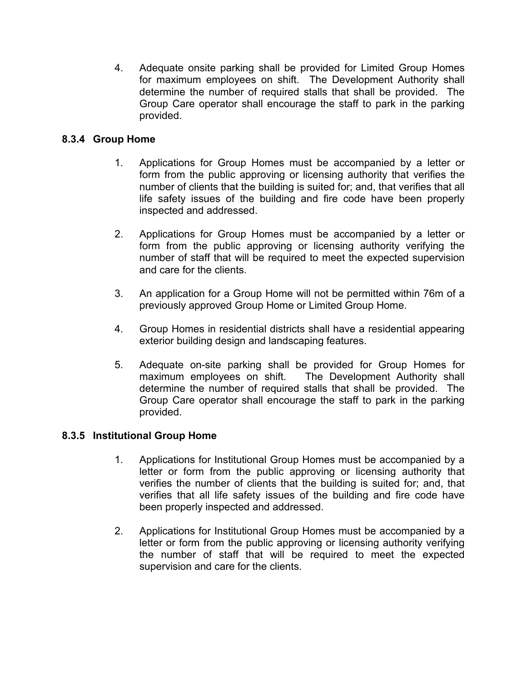4. Adequate onsite parking shall be provided for Limited Group Homes for maximum employees on shift. The Development Authority shall determine the number of required stalls that shall be provided. The Group Care operator shall encourage the staff to park in the parking provided.

## **8.3.4 Group Home**

- 1. Applications for Group Homes must be accompanied by a letter or form from the public approving or licensing authority that verifies the number of clients that the building is suited for; and, that verifies that all life safety issues of the building and fire code have been properly inspected and addressed.
- 2. Applications for Group Homes must be accompanied by a letter or form from the public approving or licensing authority verifying the number of staff that will be required to meet the expected supervision and care for the clients.
- 3. An application for a Group Home will not be permitted within 76m of a previously approved Group Home or Limited Group Home.
- 4. Group Homes in residential districts shall have a residential appearing exterior building design and landscaping features.
- 5. Adequate on-site parking shall be provided for Group Homes for maximum employees on shift. The Development Authority shall determine the number of required stalls that shall be provided. The Group Care operator shall encourage the staff to park in the parking provided.

#### **8.3.5 Institutional Group Home**

- 1. Applications for Institutional Group Homes must be accompanied by a letter or form from the public approving or licensing authority that verifies the number of clients that the building is suited for; and, that verifies that all life safety issues of the building and fire code have been properly inspected and addressed.
- 2. Applications for Institutional Group Homes must be accompanied by a letter or form from the public approving or licensing authority verifying the number of staff that will be required to meet the expected supervision and care for the clients.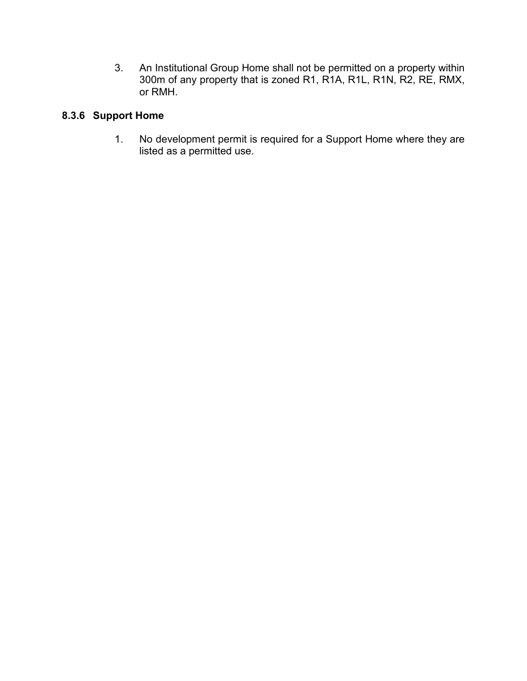3. An Institutional Group Home shall not be permitted on a property within 300m of any property that is zoned R1, R1A, R1L, R1N, R2, RE, RMX, or RMH.

## **8.3.6 Support Home**

1. No development permit is required for a Support Home where they are listed as a permitted use.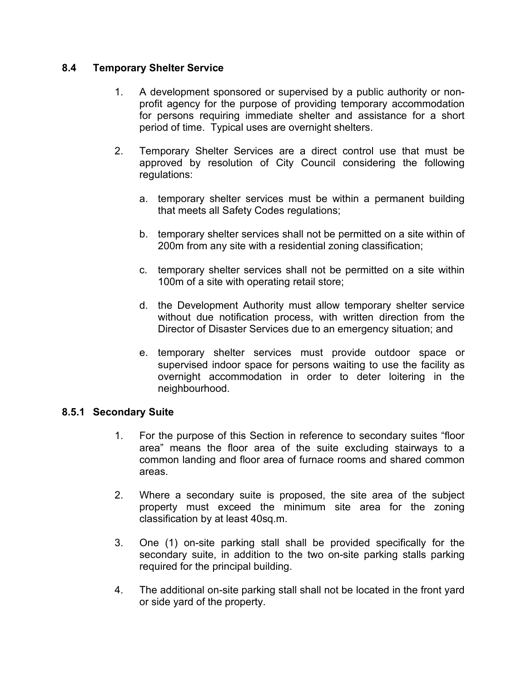## **8.4 Temporary Shelter Service**

- 1. A development sponsored or supervised by a public authority or nonprofit agency for the purpose of providing temporary accommodation for persons requiring immediate shelter and assistance for a short period of time. Typical uses are overnight shelters.
- 2. Temporary Shelter Services are a direct control use that must be approved by resolution of City Council considering the following regulations:
	- a. temporary shelter services must be within a permanent building that meets all Safety Codes regulations;
	- b. temporary shelter services shall not be permitted on a site within of 200m from any site with a residential zoning classification;
	- c. temporary shelter services shall not be permitted on a site within 100m of a site with operating retail store;
	- d. the Development Authority must allow temporary shelter service without due notification process, with written direction from the Director of Disaster Services due to an emergency situation; and
	- e. temporary shelter services must provide outdoor space or supervised indoor space for persons waiting to use the facility as overnight accommodation in order to deter loitering in the neighbourhood.

#### **8.5.1 Secondary Suite**

- 1. For the purpose of this Section in reference to secondary suites "floor area" means the floor area of the suite excluding stairways to a common landing and floor area of furnace rooms and shared common areas.
- 2. Where a secondary suite is proposed, the site area of the subject property must exceed the minimum site area for the zoning classification by at least 40sq.m.
- 3. One (1) on-site parking stall shall be provided specifically for the secondary suite, in addition to the two on-site parking stalls parking required for the principal building.
- 4. The additional on-site parking stall shall not be located in the front yard or side yard of the property.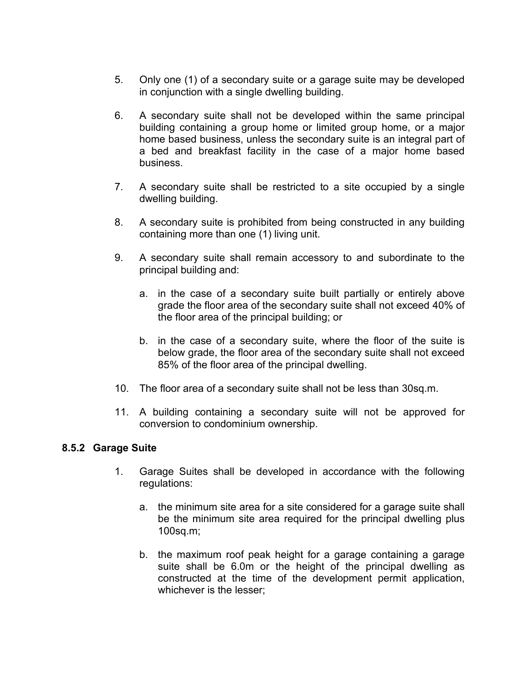- 5. Only one (1) of a secondary suite or a garage suite may be developed in conjunction with a single dwelling building.
- 6. A secondary suite shall not be developed within the same principal building containing a group home or limited group home, or a major home based business, unless the secondary suite is an integral part of a bed and breakfast facility in the case of a major home based business.
- 7. A secondary suite shall be restricted to a site occupied by a single dwelling building.
- 8. A secondary suite is prohibited from being constructed in any building containing more than one (1) living unit.
- 9. A secondary suite shall remain accessory to and subordinate to the principal building and:
	- a. in the case of a secondary suite built partially or entirely above grade the floor area of the secondary suite shall not exceed 40% of the floor area of the principal building; or
	- b. in the case of a secondary suite, where the floor of the suite is below grade, the floor area of the secondary suite shall not exceed 85% of the floor area of the principal dwelling.
- 10. The floor area of a secondary suite shall not be less than 30sq.m.
- 11. A building containing a secondary suite will not be approved for conversion to condominium ownership.

#### **8.5.2 Garage Suite**

- 1. Garage Suites shall be developed in accordance with the following regulations:
	- a. the minimum site area for a site considered for a garage suite shall be the minimum site area required for the principal dwelling plus 100sq.m;
	- b. the maximum roof peak height for a garage containing a garage suite shall be 6.0m or the height of the principal dwelling as constructed at the time of the development permit application, whichever is the lesser;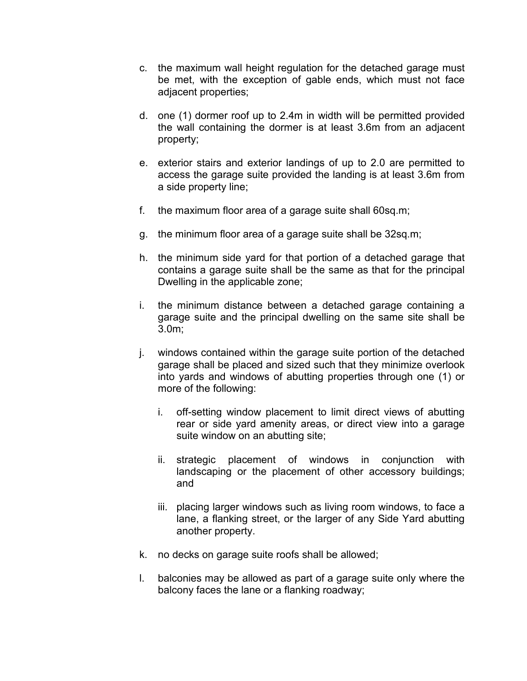- c. the maximum wall height regulation for the detached garage must be met, with the exception of gable ends, which must not face adjacent properties;
- d. one (1) dormer roof up to 2.4m in width will be permitted provided the wall containing the dormer is at least 3.6m from an adjacent property;
- e. exterior stairs and exterior landings of up to 2.0 are permitted to access the garage suite provided the landing is at least 3.6m from a side property line;
- f. the maximum floor area of a garage suite shall 60sq.m;
- g. the minimum floor area of a garage suite shall be 32sq.m;
- h. the minimum side yard for that portion of a detached garage that contains a garage suite shall be the same as that for the principal Dwelling in the applicable zone;
- i. the minimum distance between a detached garage containing a garage suite and the principal dwelling on the same site shall be 3.0m;
- j. windows contained within the garage suite portion of the detached garage shall be placed and sized such that they minimize overlook into yards and windows of abutting properties through one (1) or more of the following:
	- i. off-setting window placement to limit direct views of abutting rear or side yard amenity areas, or direct view into a garage suite window on an abutting site;
	- ii. strategic placement of windows in conjunction with landscaping or the placement of other accessory buildings; and
	- iii. placing larger windows such as living room windows, to face a lane, a flanking street, or the larger of any Side Yard abutting another property.
- k. no decks on garage suite roofs shall be allowed;
- l. balconies may be allowed as part of a garage suite only where the balcony faces the lane or a flanking roadway;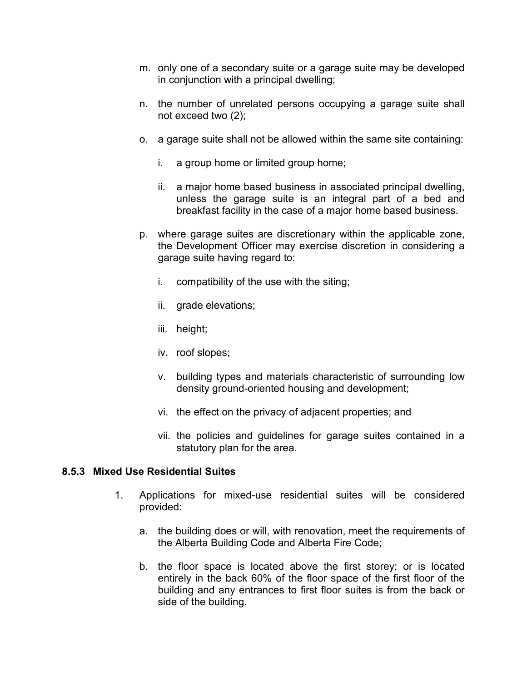- m. only one of a secondary suite or a garage suite may be developed in conjunction with a principal dwelling;
- n. the number of unrelated persons occupying a garage suite shall not exceed two (2);
- o. a garage suite shall not be allowed within the same site containing:
	- i. a group home or limited group home;
	- ii. a major home based business in associated principal dwelling, unless the garage suite is an integral part of a bed and breakfast facility in the case of a major home based business.
- p. where garage suites are discretionary within the applicable zone, the Development Officer may exercise discretion in considering a garage suite having regard to:
	- i. compatibility of the use with the siting;
	- ii. grade elevations;
	- iii. height;
	- iv. roof slopes;
	- v. building types and materials characteristic of surrounding low density ground-oriented housing and development;
	- vi. the effect on the privacy of adjacent properties; and
	- vii. the policies and guidelines for garage suites contained in a statutory plan for the area.

#### **8.5.3 Mixed Use Residential Suites**

- 1. Applications for mixed-use residential suites will be considered provided:
	- a. the building does or will, with renovation, meet the requirements of the Alberta Building Code and Alberta Fire Code;
	- b. the floor space is located above the first storey; or is located entirely in the back 60% of the floor space of the first floor of the building and any entrances to first floor suites is from the back or side of the building.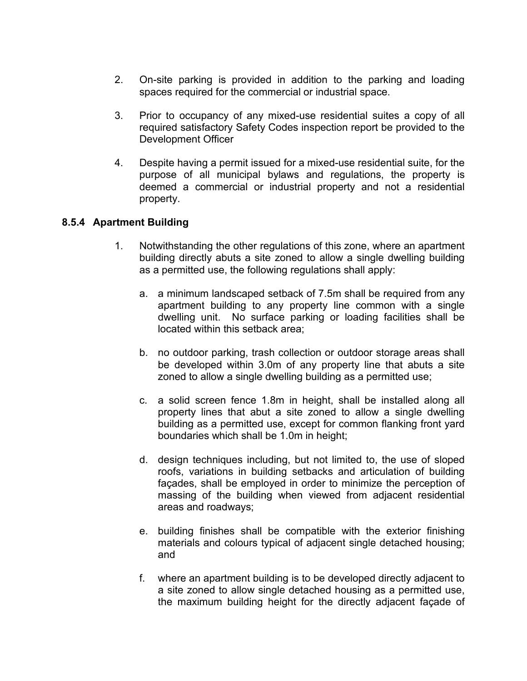- 2. On-site parking is provided in addition to the parking and loading spaces required for the commercial or industrial space.
- 3. Prior to occupancy of any mixed-use residential suites a copy of all required satisfactory Safety Codes inspection report be provided to the Development Officer
- 4. Despite having a permit issued for a mixed-use residential suite, for the purpose of all municipal bylaws and regulations, the property is deemed a commercial or industrial property and not a residential property.

## **8.5.4 Apartment Building**

- 1. Notwithstanding the other regulations of this zone, where an apartment building directly abuts a site zoned to allow a single dwelling building as a permitted use, the following regulations shall apply:
	- a. a minimum landscaped setback of 7.5m shall be required from any apartment building to any property line common with a single dwelling unit. No surface parking or loading facilities shall be located within this setback area;
	- b. no outdoor parking, trash collection or outdoor storage areas shall be developed within 3.0m of any property line that abuts a site zoned to allow a single dwelling building as a permitted use;
	- c. a solid screen fence 1.8m in height, shall be installed along all property lines that abut a site zoned to allow a single dwelling building as a permitted use, except for common flanking front yard boundaries which shall be 1.0m in height;
	- d. design techniques including, but not limited to, the use of sloped roofs, variations in building setbacks and articulation of building façades, shall be employed in order to minimize the perception of massing of the building when viewed from adjacent residential areas and roadways;
	- e. building finishes shall be compatible with the exterior finishing materials and colours typical of adjacent single detached housing; and
	- f. where an apartment building is to be developed directly adjacent to a site zoned to allow single detached housing as a permitted use, the maximum building height for the directly adjacent façade of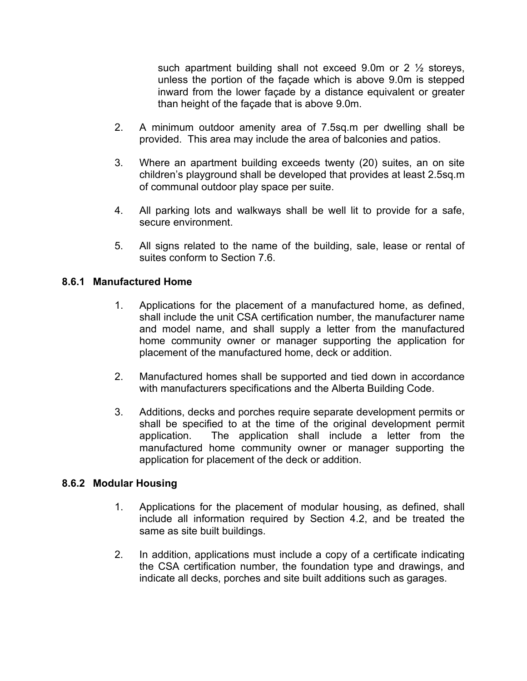such apartment building shall not exceed 9.0m or 2  $\frac{1}{2}$  storeys, unless the portion of the façade which is above 9.0m is stepped inward from the lower façade by a distance equivalent or greater than height of the façade that is above 9.0m.

- 2. A minimum outdoor amenity area of 7.5sq.m per dwelling shall be provided. This area may include the area of balconies and patios.
- 3. Where an apartment building exceeds twenty (20) suites, an on site children's playground shall be developed that provides at least 2.5sq.m of communal outdoor play space per suite.
- 4. All parking lots and walkways shall be well lit to provide for a safe, secure environment.
- 5. All signs related to the name of the building, sale, lease or rental of suites conform to Section 7.6.

## **8.6.1 Manufactured Home**

- 1. Applications for the placement of a manufactured home, as defined, shall include the unit CSA certification number, the manufacturer name and model name, and shall supply a letter from the manufactured home community owner or manager supporting the application for placement of the manufactured home, deck or addition.
- 2. Manufactured homes shall be supported and tied down in accordance with manufacturers specifications and the Alberta Building Code.
- 3. Additions, decks and porches require separate development permits or shall be specified to at the time of the original development permit application. The application shall include a letter from the manufactured home community owner or manager supporting the application for placement of the deck or addition.

#### **8.6.2 Modular Housing**

- 1. Applications for the placement of modular housing, as defined, shall include all information required by Section 4.2, and be treated the same as site built buildings.
- 2. In addition, applications must include a copy of a certificate indicating the CSA certification number, the foundation type and drawings, and indicate all decks, porches and site built additions such as garages.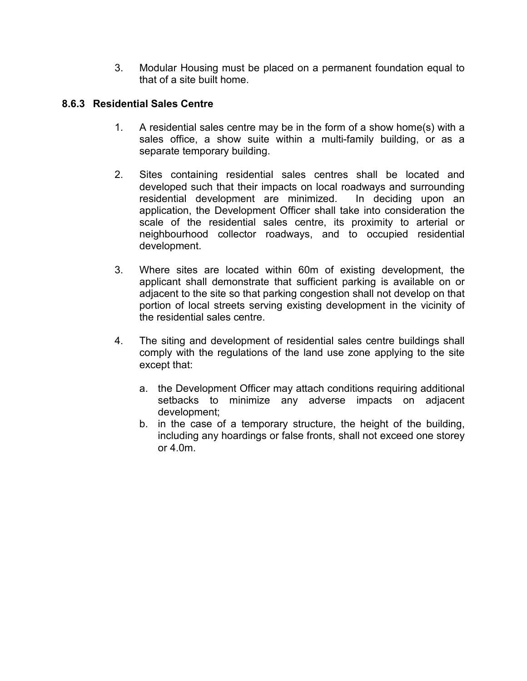3. Modular Housing must be placed on a permanent foundation equal to that of a site built home.

## **8.6.3 Residential Sales Centre**

- 1. A residential sales centre may be in the form of a show home(s) with a sales office, a show suite within a multi-family building, or as a separate temporary building.
- 2. Sites containing residential sales centres shall be located and developed such that their impacts on local roadways and surrounding residential development are minimized. In deciding upon an application, the Development Officer shall take into consideration the scale of the residential sales centre, its proximity to arterial or neighbourhood collector roadways, and to occupied residential development.
- 3. Where sites are located within 60m of existing development, the applicant shall demonstrate that sufficient parking is available on or adjacent to the site so that parking congestion shall not develop on that portion of local streets serving existing development in the vicinity of the residential sales centre.
- 4. The siting and development of residential sales centre buildings shall comply with the regulations of the land use zone applying to the site except that:
	- a. the Development Officer may attach conditions requiring additional setbacks to minimize any adverse impacts on adjacent development;
	- b. in the case of a temporary structure, the height of the building, including any hoardings or false fronts, shall not exceed one storey or  $4.0<sub>m</sub>$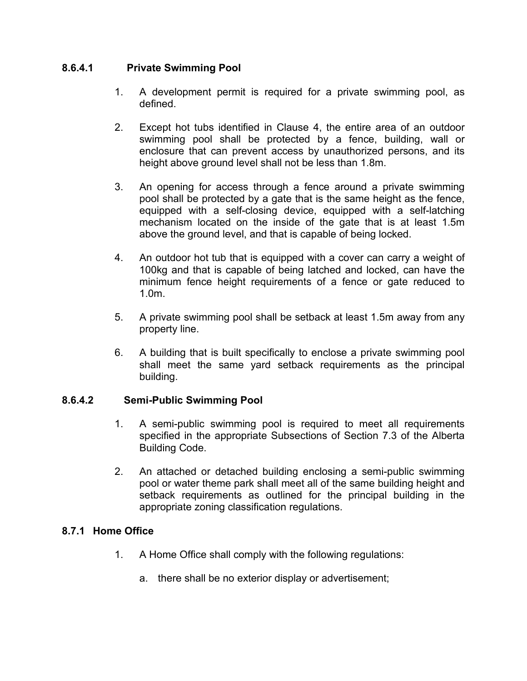## **8.6.4.1 Private Swimming Pool**

- 1. A development permit is required for a private swimming pool, as defined.
- 2. Except hot tubs identified in Clause 4, the entire area of an outdoor swimming pool shall be protected by a fence, building, wall or enclosure that can prevent access by unauthorized persons, and its height above ground level shall not be less than 1.8m.
- 3. An opening for access through a fence around a private swimming pool shall be protected by a gate that is the same height as the fence, equipped with a self-closing device, equipped with a self-latching mechanism located on the inside of the gate that is at least 1.5m above the ground level, and that is capable of being locked.
- 4. An outdoor hot tub that is equipped with a cover can carry a weight of 100kg and that is capable of being latched and locked, can have the minimum fence height requirements of a fence or gate reduced to 1.0m.
- 5. A private swimming pool shall be setback at least 1.5m away from any property line.
- 6. A building that is built specifically to enclose a private swimming pool shall meet the same yard setback requirements as the principal building.

#### **8.6.4.2 Semi-Public Swimming Pool**

- 1. A semi-public swimming pool is required to meet all requirements specified in the appropriate Subsections of Section 7.3 of the Alberta Building Code.
- 2. An attached or detached building enclosing a semi-public swimming pool or water theme park shall meet all of the same building height and setback requirements as outlined for the principal building in the appropriate zoning classification regulations.

## **8.7.1 Home Office**

- 1. A Home Office shall comply with the following regulations:
	- a. there shall be no exterior display or advertisement;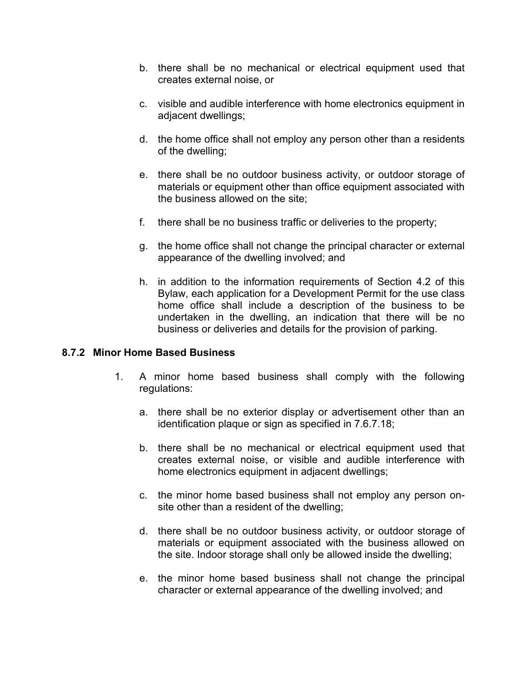- b. there shall be no mechanical or electrical equipment used that creates external noise, or
- c. visible and audible interference with home electronics equipment in adjacent dwellings;
- d. the home office shall not employ any person other than a residents of the dwelling;
- e. there shall be no outdoor business activity, or outdoor storage of materials or equipment other than office equipment associated with the business allowed on the site;
- f. there shall be no business traffic or deliveries to the property;
- g. the home office shall not change the principal character or external appearance of the dwelling involved; and
- h. in addition to the information requirements of Section 4.2 of this Bylaw, each application for a Development Permit for the use class home office shall include a description of the business to be undertaken in the dwelling, an indication that there will be no business or deliveries and details for the provision of parking.

#### **8.7.2 Minor Home Based Business**

- 1. A minor home based business shall comply with the following regulations:
	- a. there shall be no exterior display or advertisement other than an identification plaque or sign as specified in 7.6.7.18;
	- b. there shall be no mechanical or electrical equipment used that creates external noise, or visible and audible interference with home electronics equipment in adjacent dwellings;
	- c. the minor home based business shall not employ any person onsite other than a resident of the dwelling;
	- d. there shall be no outdoor business activity, or outdoor storage of materials or equipment associated with the business allowed on the site. Indoor storage shall only be allowed inside the dwelling;
	- e. the minor home based business shall not change the principal character or external appearance of the dwelling involved; and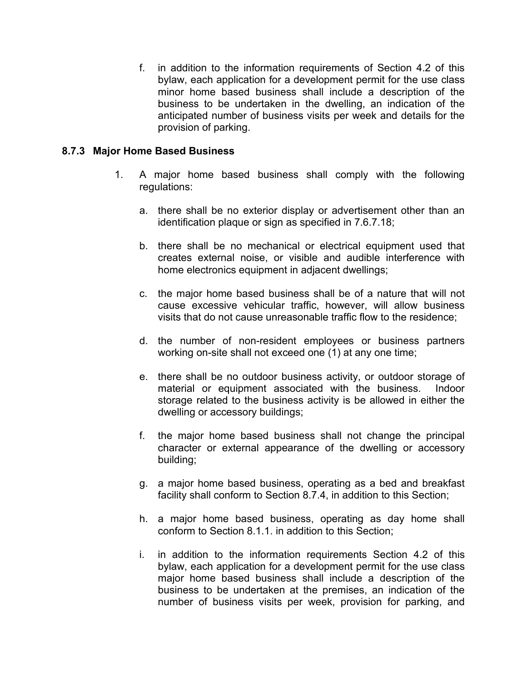f. in addition to the information requirements of Section 4.2 of this bylaw, each application for a development permit for the use class minor home based business shall include a description of the business to be undertaken in the dwelling, an indication of the anticipated number of business visits per week and details for the provision of parking.

#### **8.7.3 Major Home Based Business**

- 1. A major home based business shall comply with the following regulations:
	- a. there shall be no exterior display or advertisement other than an identification plaque or sign as specified in 7.6.7.18;
	- b. there shall be no mechanical or electrical equipment used that creates external noise, or visible and audible interference with home electronics equipment in adjacent dwellings;
	- c. the major home based business shall be of a nature that will not cause excessive vehicular traffic, however, will allow business visits that do not cause unreasonable traffic flow to the residence;
	- d. the number of non-resident employees or business partners working on-site shall not exceed one (1) at any one time;
	- e. there shall be no outdoor business activity, or outdoor storage of material or equipment associated with the business. Indoor storage related to the business activity is be allowed in either the dwelling or accessory buildings;
	- f. the major home based business shall not change the principal character or external appearance of the dwelling or accessory building;
	- g. a major home based business, operating as a bed and breakfast facility shall conform to Section 8.7.4, in addition to this Section;
	- h. a major home based business, operating as day home shall conform to Section 8.1.1. in addition to this Section;
	- i. in addition to the information requirements Section 4.2 of this bylaw, each application for a development permit for the use class major home based business shall include a description of the business to be undertaken at the premises, an indication of the number of business visits per week, provision for parking, and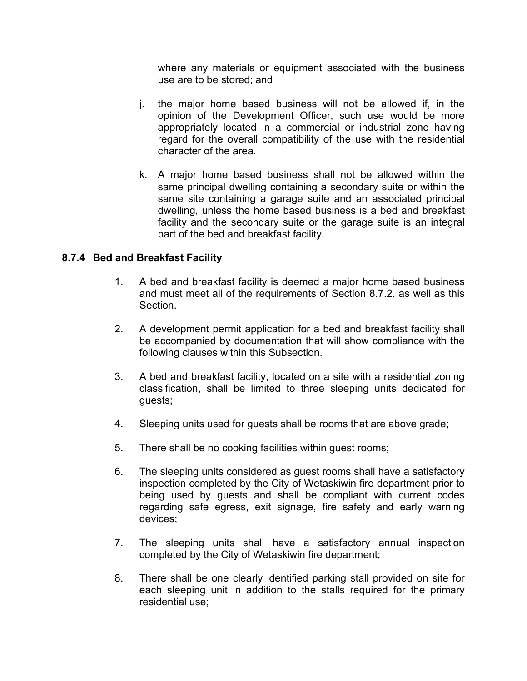where any materials or equipment associated with the business use are to be stored; and

- j. the major home based business will not be allowed if, in the opinion of the Development Officer, such use would be more appropriately located in a commercial or industrial zone having regard for the overall compatibility of the use with the residential character of the area.
- k. A major home based business shall not be allowed within the same principal dwelling containing a secondary suite or within the same site containing a garage suite and an associated principal dwelling, unless the home based business is a bed and breakfast facility and the secondary suite or the garage suite is an integral part of the bed and breakfast facility.

#### **8.7.4 Bed and Breakfast Facility**

- 1. A bed and breakfast facility is deemed a major home based business and must meet all of the requirements of Section 8.7.2. as well as this Section.
- 2. A development permit application for a bed and breakfast facility shall be accompanied by documentation that will show compliance with the following clauses within this Subsection.
- 3. A bed and breakfast facility, located on a site with a residential zoning classification, shall be limited to three sleeping units dedicated for guests;
- 4. Sleeping units used for guests shall be rooms that are above grade;
- 5. There shall be no cooking facilities within guest rooms;
- 6. The sleeping units considered as guest rooms shall have a satisfactory inspection completed by the City of Wetaskiwin fire department prior to being used by guests and shall be compliant with current codes regarding safe egress, exit signage, fire safety and early warning devices;
- 7. The sleeping units shall have a satisfactory annual inspection completed by the City of Wetaskiwin fire department;
- 8. There shall be one clearly identified parking stall provided on site for each sleeping unit in addition to the stalls required for the primary residential use;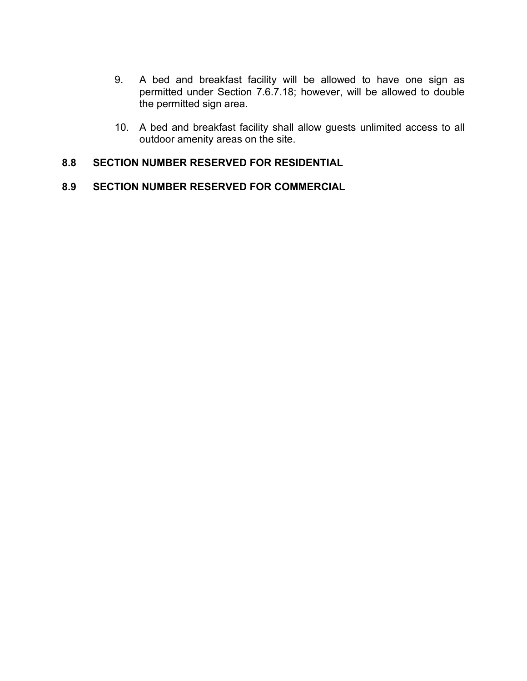- 9. A bed and breakfast facility will be allowed to have one sign as permitted under Section 7.6.7.18; however, will be allowed to double the permitted sign area.
- 10. A bed and breakfast facility shall allow guests unlimited access to all outdoor amenity areas on the site.

#### **8.8 SECTION NUMBER RESERVED FOR RESIDENTIAL**

## **8.9 SECTION NUMBER RESERVED FOR COMMERCIAL**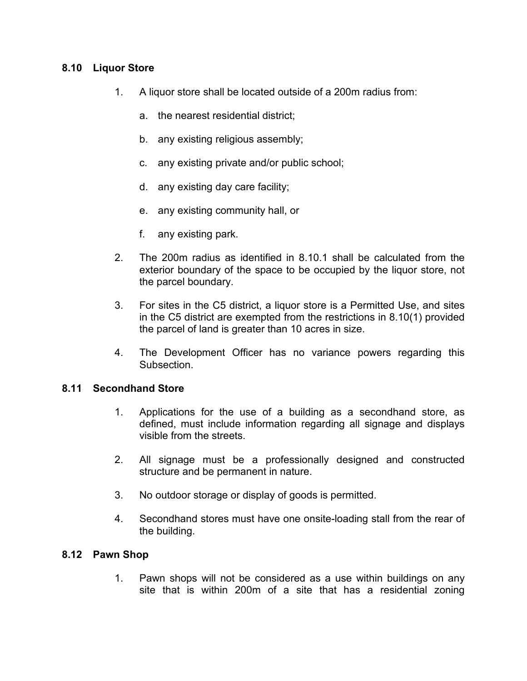## **8.10 Liquor Store**

- 1. A liquor store shall be located outside of a 200m radius from:
	- a. the nearest residential district;
	- b. any existing religious assembly;
	- c. any existing private and/or public school;
	- d. any existing day care facility;
	- e. any existing community hall, or
	- f. any existing park.
- 2. The 200m radius as identified in 8.10.1 shall be calculated from the exterior boundary of the space to be occupied by the liquor store, not the parcel boundary.
- 3. For sites in the C5 district, a liquor store is a Permitted Use, and sites in the C5 district are exempted from the restrictions in 8.10(1) provided the parcel of land is greater than 10 acres in size.
- 4. The Development Officer has no variance powers regarding this Subsection.

#### **8.11 Secondhand Store**

- 1. Applications for the use of a building as a secondhand store, as defined, must include information regarding all signage and displays visible from the streets.
- 2. All signage must be a professionally designed and constructed structure and be permanent in nature.
- 3. No outdoor storage or display of goods is permitted.
- 4. Secondhand stores must have one onsite-loading stall from the rear of the building.

#### **8.12 Pawn Shop**

1. Pawn shops will not be considered as a use within buildings on any site that is within 200m of a site that has a residential zoning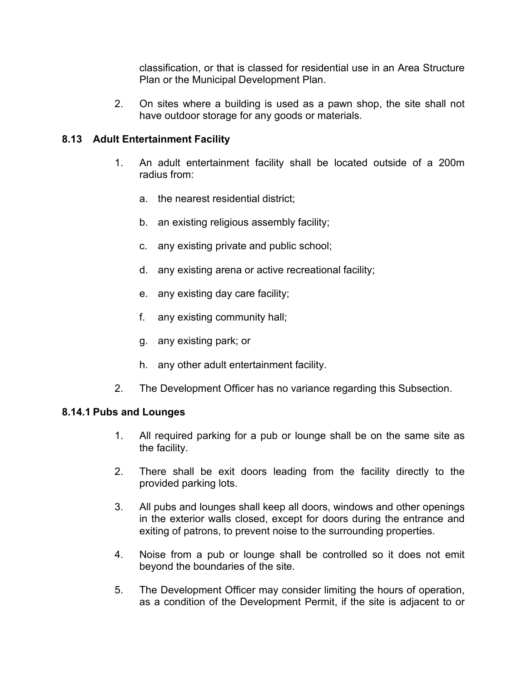classification, or that is classed for residential use in an Area Structure Plan or the Municipal Development Plan.

2. On sites where a building is used as a pawn shop, the site shall not have outdoor storage for any goods or materials.

## **8.13 Adult Entertainment Facility**

- 1. An adult entertainment facility shall be located outside of a 200m radius from:
	- a. the nearest residential district;
	- b. an existing religious assembly facility;
	- c. any existing private and public school;
	- d. any existing arena or active recreational facility;
	- e. any existing day care facility;
	- f. any existing community hall;
	- g. any existing park; or
	- h. any other adult entertainment facility.
- 2. The Development Officer has no variance regarding this Subsection.

#### **8.14.1 Pubs and Lounges**

- 1. All required parking for a pub or lounge shall be on the same site as the facility.
- 2. There shall be exit doors leading from the facility directly to the provided parking lots.
- 3. All pubs and lounges shall keep all doors, windows and other openings in the exterior walls closed, except for doors during the entrance and exiting of patrons, to prevent noise to the surrounding properties.
- 4. Noise from a pub or lounge shall be controlled so it does not emit beyond the boundaries of the site.
- 5. The Development Officer may consider limiting the hours of operation, as a condition of the Development Permit, if the site is adjacent to or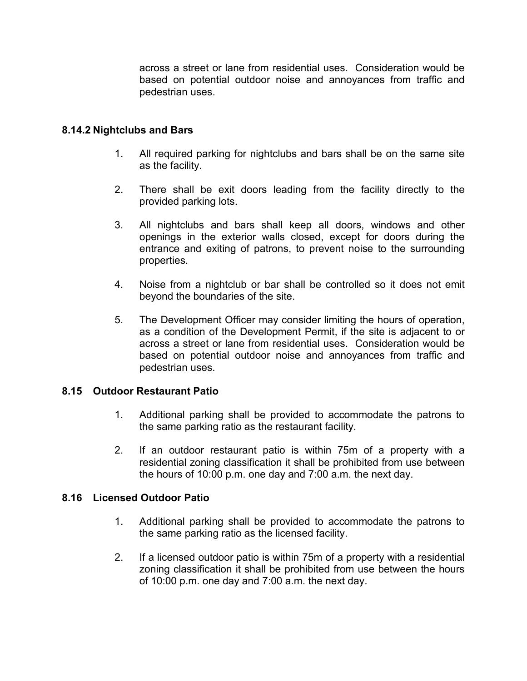across a street or lane from residential uses. Consideration would be based on potential outdoor noise and annoyances from traffic and pedestrian uses.

## **8.14.2 Nightclubs and Bars**

- 1. All required parking for nightclubs and bars shall be on the same site as the facility.
- 2. There shall be exit doors leading from the facility directly to the provided parking lots.
- 3. All nightclubs and bars shall keep all doors, windows and other openings in the exterior walls closed, except for doors during the entrance and exiting of patrons, to prevent noise to the surrounding properties.
- 4. Noise from a nightclub or bar shall be controlled so it does not emit beyond the boundaries of the site.
- 5. The Development Officer may consider limiting the hours of operation, as a condition of the Development Permit, if the site is adjacent to or across a street or lane from residential uses. Consideration would be based on potential outdoor noise and annoyances from traffic and pedestrian uses.

#### **8.15 Outdoor Restaurant Patio**

- 1. Additional parking shall be provided to accommodate the patrons to the same parking ratio as the restaurant facility.
- 2. If an outdoor restaurant patio is within 75m of a property with a residential zoning classification it shall be prohibited from use between the hours of 10:00 p.m. one day and 7:00 a.m. the next day.

#### **8.16 Licensed Outdoor Patio**

- 1. Additional parking shall be provided to accommodate the patrons to the same parking ratio as the licensed facility.
- 2. If a licensed outdoor patio is within 75m of a property with a residential zoning classification it shall be prohibited from use between the hours of 10:00 p.m. one day and 7:00 a.m. the next day.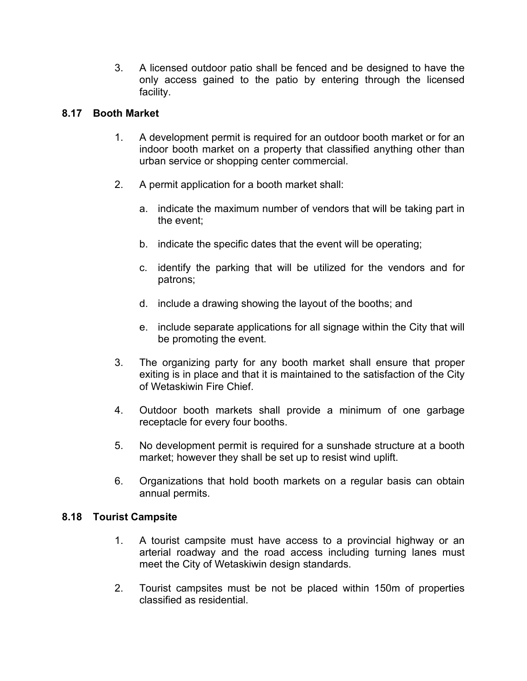3. A licensed outdoor patio shall be fenced and be designed to have the only access gained to the patio by entering through the licensed facility.

## **8.17 Booth Market**

- 1. A development permit is required for an outdoor booth market or for an indoor booth market on a property that classified anything other than urban service or shopping center commercial.
- 2. A permit application for a booth market shall:
	- a. indicate the maximum number of vendors that will be taking part in the event;
	- b. indicate the specific dates that the event will be operating;
	- c. identify the parking that will be utilized for the vendors and for patrons;
	- d. include a drawing showing the layout of the booths; and
	- e. include separate applications for all signage within the City that will be promoting the event.
- 3. The organizing party for any booth market shall ensure that proper exiting is in place and that it is maintained to the satisfaction of the City of Wetaskiwin Fire Chief.
- 4. Outdoor booth markets shall provide a minimum of one garbage receptacle for every four booths.
- 5. No development permit is required for a sunshade structure at a booth market; however they shall be set up to resist wind uplift.
- 6. Organizations that hold booth markets on a regular basis can obtain annual permits.

## **8.18 Tourist Campsite**

- 1. A tourist campsite must have access to a provincial highway or an arterial roadway and the road access including turning lanes must meet the City of Wetaskiwin design standards.
- 2. Tourist campsites must be not be placed within 150m of properties classified as residential.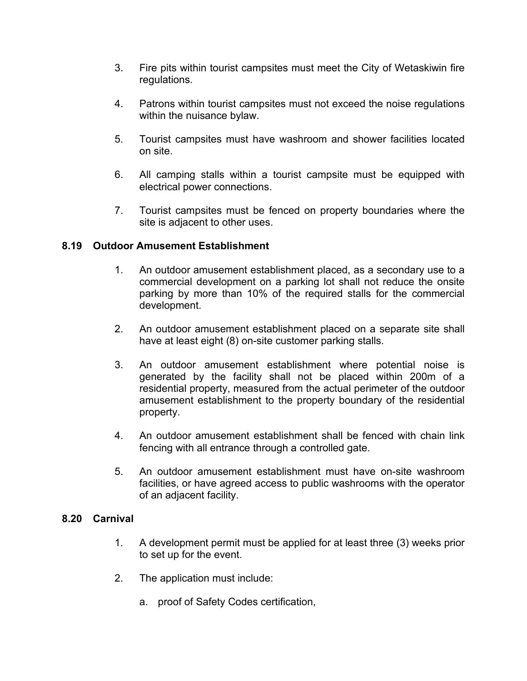- 3. Fire pits within tourist campsites must meet the City of Wetaskiwin fire regulations.
- 4. Patrons within tourist campsites must not exceed the noise regulations within the nuisance bylaw.
- 5. Tourist campsites must have washroom and shower facilities located on site.
- 6. All camping stalls within a tourist campsite must be equipped with electrical power connections.
- 7. Tourist campsites must be fenced on property boundaries where the site is adjacent to other uses.

## **8.19 Outdoor Amusement Establishment**

- 1. An outdoor amusement establishment placed, as a secondary use to a commercial development on a parking lot shall not reduce the onsite parking by more than 10% of the required stalls for the commercial development.
- 2. An outdoor amusement establishment placed on a separate site shall have at least eight (8) on-site customer parking stalls.
- 3. An outdoor amusement establishment where potential noise is generated by the facility shall not be placed within 200m of a residential property, measured from the actual perimeter of the outdoor amusement establishment to the property boundary of the residential property.
- 4. An outdoor amusement establishment shall be fenced with chain link fencing with all entrance through a controlled gate.
- 5. An outdoor amusement establishment must have on-site washroom facilities, or have agreed access to public washrooms with the operator of an adjacent facility.

#### **8.20 Carnival**

- 1. A development permit must be applied for at least three (3) weeks prior to set up for the event.
- 2. The application must include:
	- a. proof of Safety Codes certification,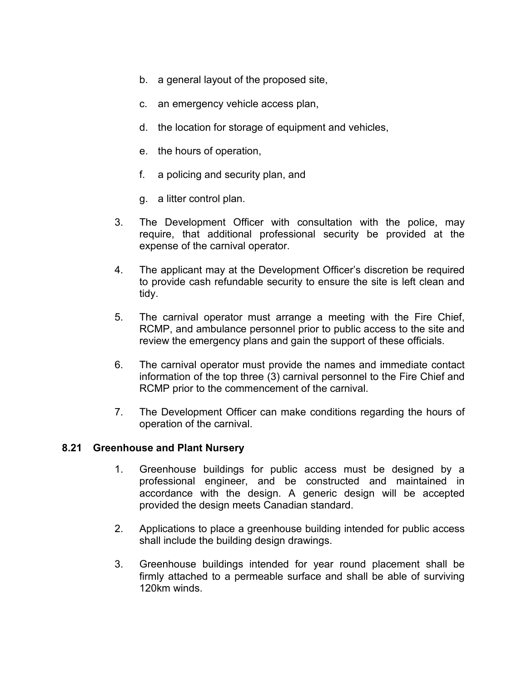- b. a general layout of the proposed site,
- c. an emergency vehicle access plan,
- d. the location for storage of equipment and vehicles,
- e. the hours of operation,
- f. a policing and security plan, and
- g. a litter control plan.
- 3. The Development Officer with consultation with the police, may require, that additional professional security be provided at the expense of the carnival operator.
- 4. The applicant may at the Development Officer's discretion be required to provide cash refundable security to ensure the site is left clean and tidy.
- 5. The carnival operator must arrange a meeting with the Fire Chief, RCMP, and ambulance personnel prior to public access to the site and review the emergency plans and gain the support of these officials.
- 6. The carnival operator must provide the names and immediate contact information of the top three (3) carnival personnel to the Fire Chief and RCMP prior to the commencement of the carnival.
- 7. The Development Officer can make conditions regarding the hours of operation of the carnival.

#### **8.21 Greenhouse and Plant Nursery**

- 1. Greenhouse buildings for public access must be designed by a professional engineer, and be constructed and maintained in accordance with the design. A generic design will be accepted provided the design meets Canadian standard.
- 2. Applications to place a greenhouse building intended for public access shall include the building design drawings.
- 3. Greenhouse buildings intended for year round placement shall be firmly attached to a permeable surface and shall be able of surviving 120km winds.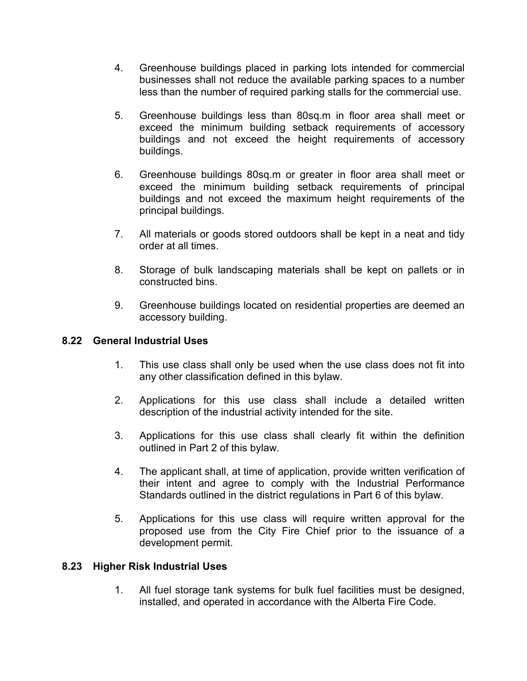- 4. Greenhouse buildings placed in parking lots intended for commercial businesses shall not reduce the available parking spaces to a number less than the number of required parking stalls for the commercial use.
- 5. Greenhouse buildings less than 80sq.m in floor area shall meet or exceed the minimum building setback requirements of accessory buildings and not exceed the height requirements of accessory buildings.
- 6. Greenhouse buildings 80sq.m or greater in floor area shall meet or exceed the minimum building setback requirements of principal buildings and not exceed the maximum height requirements of the principal buildings.
- 7. All materials or goods stored outdoors shall be kept in a neat and tidy order at all times.
- 8. Storage of bulk landscaping materials shall be kept on pallets or in constructed bins.
- 9. Greenhouse buildings located on residential properties are deemed an accessory building.

## **8.22 General Industrial Uses**

- 1. This use class shall only be used when the use class does not fit into any other classification defined in this bylaw.
- 2. Applications for this use class shall include a detailed written description of the industrial activity intended for the site.
- 3. Applications for this use class shall clearly fit within the definition outlined in Part 2 of this bylaw.
- 4. The applicant shall, at time of application, provide written verification of their intent and agree to comply with the Industrial Performance Standards outlined in the district regulations in Part 6 of this bylaw.
- 5. Applications for this use class will require written approval for the proposed use from the City Fire Chief prior to the issuance of a development permit.

#### **8.23 Higher Risk Industrial Uses**

1. All fuel storage tank systems for bulk fuel facilities must be designed, installed, and operated in accordance with the Alberta Fire Code.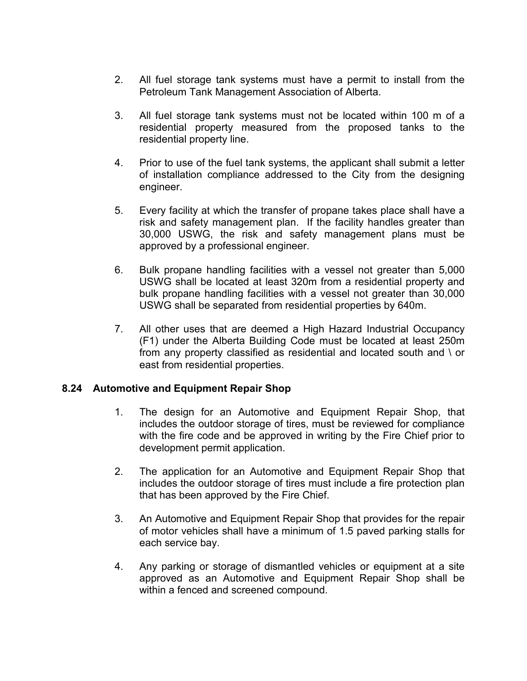- 2. All fuel storage tank systems must have a permit to install from the Petroleum Tank Management Association of Alberta.
- 3. All fuel storage tank systems must not be located within 100 m of a residential property measured from the proposed tanks to the residential property line.
- 4. Prior to use of the fuel tank systems, the applicant shall submit a letter of installation compliance addressed to the City from the designing engineer.
- 5. Every facility at which the transfer of propane takes place shall have a risk and safety management plan. If the facility handles greater than 30,000 USWG, the risk and safety management plans must be approved by a professional engineer.
- 6. Bulk propane handling facilities with a vessel not greater than 5,000 USWG shall be located at least 320m from a residential property and bulk propane handling facilities with a vessel not greater than 30,000 USWG shall be separated from residential properties by 640m.
- 7. All other uses that are deemed a High Hazard Industrial Occupancy (F1) under the Alberta Building Code must be located at least 250m from any property classified as residential and located south and \ or east from residential properties.

## **8.24 Automotive and Equipment Repair Shop**

- 1. The design for an Automotive and Equipment Repair Shop, that includes the outdoor storage of tires, must be reviewed for compliance with the fire code and be approved in writing by the Fire Chief prior to development permit application.
- 2. The application for an Automotive and Equipment Repair Shop that includes the outdoor storage of tires must include a fire protection plan that has been approved by the Fire Chief.
- 3. An Automotive and Equipment Repair Shop that provides for the repair of motor vehicles shall have a minimum of 1.5 paved parking stalls for each service bay.
- 4. Any parking or storage of dismantled vehicles or equipment at a site approved as an Automotive and Equipment Repair Shop shall be within a fenced and screened compound.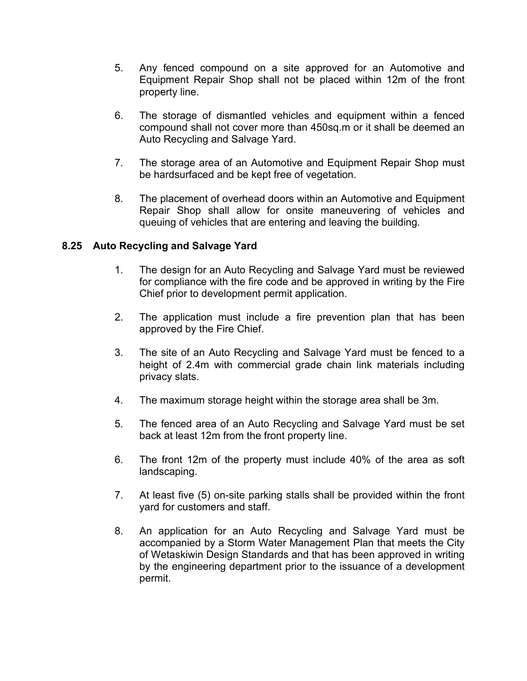- 5. Any fenced compound on a site approved for an Automotive and Equipment Repair Shop shall not be placed within 12m of the front property line.
- 6. The storage of dismantled vehicles and equipment within a fenced compound shall not cover more than 450sq.m or it shall be deemed an Auto Recycling and Salvage Yard.
- 7. The storage area of an Automotive and Equipment Repair Shop must be hardsurfaced and be kept free of vegetation.
- 8. The placement of overhead doors within an Automotive and Equipment Repair Shop shall allow for onsite maneuvering of vehicles and queuing of vehicles that are entering and leaving the building.

## **8.25 Auto Recycling and Salvage Yard**

- 1. The design for an Auto Recycling and Salvage Yard must be reviewed for compliance with the fire code and be approved in writing by the Fire Chief prior to development permit application.
- 2. The application must include a fire prevention plan that has been approved by the Fire Chief.
- 3. The site of an Auto Recycling and Salvage Yard must be fenced to a height of 2.4m with commercial grade chain link materials including privacy slats.
- 4. The maximum storage height within the storage area shall be 3m.
- 5. The fenced area of an Auto Recycling and Salvage Yard must be set back at least 12m from the front property line.
- 6. The front 12m of the property must include 40% of the area as soft landscaping.
- 7. At least five (5) on-site parking stalls shall be provided within the front yard for customers and staff.
- 8. An application for an Auto Recycling and Salvage Yard must be accompanied by a Storm Water Management Plan that meets the City of Wetaskiwin Design Standards and that has been approved in writing by the engineering department prior to the issuance of a development permit.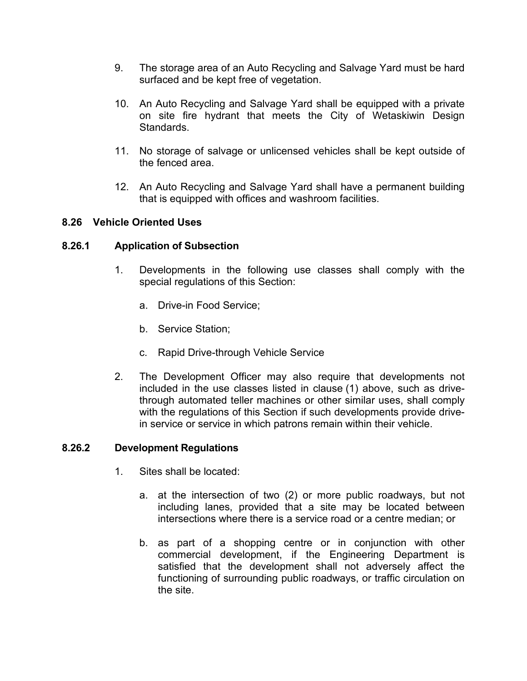- 9. The storage area of an Auto Recycling and Salvage Yard must be hard surfaced and be kept free of vegetation.
- 10. An Auto Recycling and Salvage Yard shall be equipped with a private on site fire hydrant that meets the City of Wetaskiwin Design Standards.
- 11. No storage of salvage or unlicensed vehicles shall be kept outside of the fenced area.
- 12. An Auto Recycling and Salvage Yard shall have a permanent building that is equipped with offices and washroom facilities.

## **8.26 Vehicle Oriented Uses**

## **8.26.1 Application of Subsection**

- 1. Developments in the following use classes shall comply with the special regulations of this Section:
	- a. Drive-in Food Service;
	- b. Service Station;
	- c. Rapid Drive-through Vehicle Service
- 2. The Development Officer may also require that developments not included in the use classes listed in clause (1) above, such as drivethrough automated teller machines or other similar uses, shall comply with the regulations of this Section if such developments provide drivein service or service in which patrons remain within their vehicle.

#### **8.26.2 Development Regulations**

- 1. Sites shall be located:
	- a. at the intersection of two (2) or more public roadways, but not including lanes, provided that a site may be located between intersections where there is a service road or a centre median; or
	- b. as part of a shopping centre or in conjunction with other commercial development, if the Engineering Department is satisfied that the development shall not adversely affect the functioning of surrounding public roadways, or traffic circulation on the site.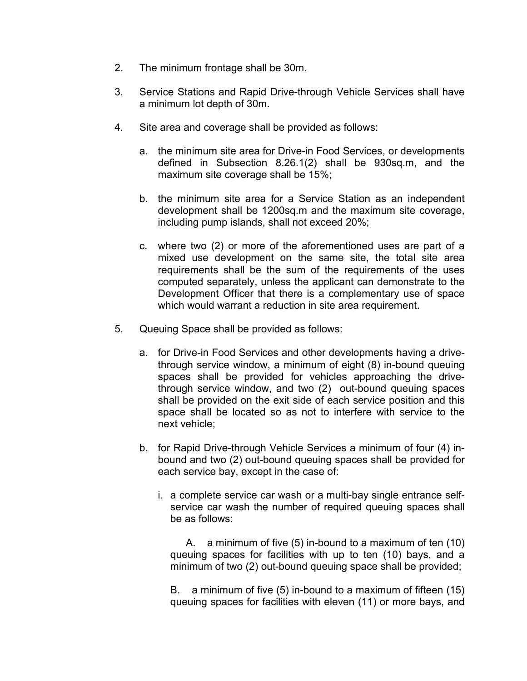- 2. The minimum frontage shall be 30m.
- 3. Service Stations and [Rapid Drive-through Vehicle Services](javascript:void(0);) shall have a minimum lot depth of 30m.
- 4. Site area and coverage shall be provided as follows:
	- a. the minimum site area for Drive-in Food Services, or developments defined in Subsection 8.26.1(2) shall be 930sq.m, and the maximum site coverage shall be 15%;
	- b. the minimum site area for a Service Station as an independent development shall be 1200sq.m and the maximum site coverage, including pump islands, shall not exceed 20%;
	- c. where two (2) or more of the aforementioned uses are part of a mixed use development on the same site, the total site area requirements shall be the sum of the requirements of the uses computed separately, unless the applicant can demonstrate to the Development Officer that there is a complementary use of space which would warrant a reduction in site area requirement.
- 5. Queuing Space shall be provided as follows:
	- a. for Drive-in Food Services and other developments having a drivethrough service window, a minimum of eight (8) in-bound queuing spaces shall be provided for vehicles approaching the drivethrough service window, and two (2) out-bound queuing spaces shall be provided on the exit side of each service position and this space shall be located so as not to interfere with service to the next vehicle;
	- b. for Rapid Drive-through Vehicle Services a minimum of four (4) inbound and two (2) out-bound queuing spaces shall be provided for each service bay, except in the case of:
		- i. a complete service car wash or a multi-bay single entrance selfservice car wash the number of required queuing spaces shall be as follows:

A. a minimum of five (5) in-bound to a maximum of ten (10) queuing spaces for facilities with up to ten (10) bays, and a minimum of two (2) out-bound queuing space shall be provided;

B. a minimum of five (5) in-bound to a maximum of fifteen (15) queuing spaces for facilities with eleven (11) or more bays, and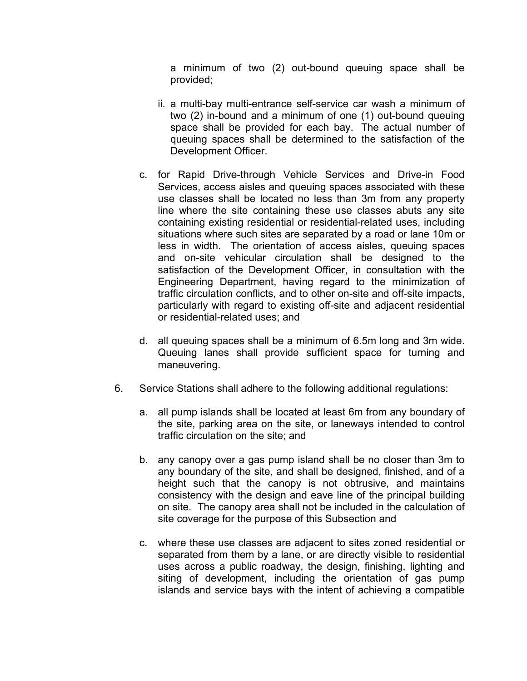a minimum of two (2) out-bound queuing space shall be provided;

- ii. a multi-bay multi-entrance self-service car wash a minimum of two (2) in-bound and a minimum of one (1) out-bound queuing space shall be provided for each bay. The actual number of queuing spaces shall be determined to the satisfaction of the Development Officer.
- c. for Rapid Drive-through Vehicle Services and Drive-in Food Services, access aisles and queuing spaces associated with these use classes shall be located no less than 3m from any property line where the site containing these use classes abuts any site containing existing residential or residential-related uses, including situations where such sites are separated by a road or lane 10m or less in width. The orientation of access aisles, queuing spaces and on-site vehicular circulation shall be designed to the satisfaction of the Development Officer, in consultation with the Engineering Department, having regard to the minimization of traffic circulation conflicts, and to other on-site and off-site impacts, particularly with regard to existing off-site and adjacent residential or residential-related uses; and
- d. all queuing spaces shall be a minimum of 6.5m long and 3m wide. Queuing lanes shall provide sufficient space for turning and maneuvering.
- 6. Service Stations shall adhere to the following additional regulations:
	- a. all pump islands shall be located at least 6m from any boundary of the site, parking area on the site, or laneways intended to control traffic circulation on the site; and
	- b. any canopy over a gas pump island shall be no closer than 3m to any boundary of the site, and shall be designed, finished, and of a height such that the canopy is not obtrusive, and maintains consistency with the design and eave line of the principal building on site. The canopy area shall not be included in the calculation of site coverage for the purpose of this Subsection and
	- c. where these use classes are adjacent to sites zoned residential or separated from them by a lane, or are directly visible to residential uses across a public roadway, the design, finishing, lighting and siting of development, including the orientation of gas pump islands and service bays with the intent of achieving a compatible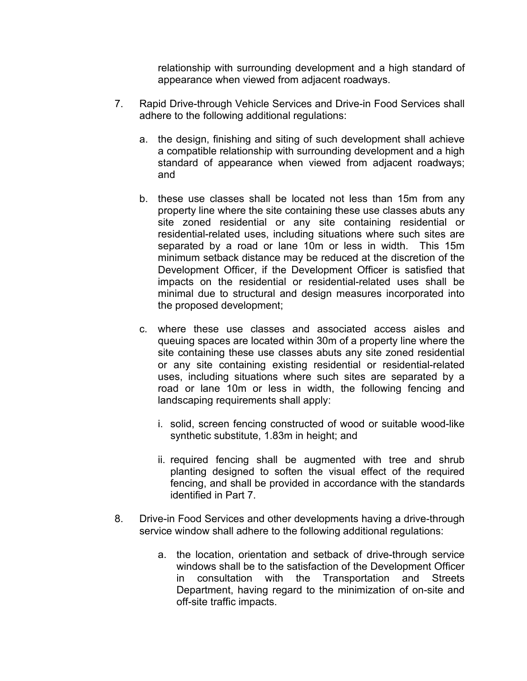relationship with surrounding development and a high standard of appearance when viewed from adjacent roadways.

- 7. Rapid Drive-through Vehicle Services and Drive-in Food Services shall adhere to the following additional regulations:
	- a. the design, finishing and siting of such development shall achieve a compatible relationship with surrounding development and a high standard of appearance when viewed from adjacent roadways; and
	- b. these use classes shall be located not less than 15m from any property line where the site containing these use classes abuts any site zoned residential or any site containing residential or residential-related uses, including situations where such sites are separated by a road or lane 10m or less in width. This 15m minimum setback distance may be reduced at the discretion of the Development Officer, if the Development Officer is satisfied that impacts on the residential or residential-related uses shall be minimal due to structural and design measures incorporated into the proposed development;
	- c. where these use classes and associated access aisles and queuing spaces are located within 30m of a property line where the site containing these use classes abuts any site zoned residential or any site containing existing residential or residential-related uses, including situations where such sites are separated by a road or lane 10m or less in width, the following fencing and landscaping requirements shall apply:
		- i. solid, screen fencing constructed of wood or suitable wood-like synthetic substitute, 1.83m in height; and
		- ii. required fencing shall be augmented with tree and shrub planting designed to soften the visual effect of the required fencing, and shall be provided in accordance with the standards identified in Part 7.
- 8. Drive-in Food Services and other developments having a drive-through service window shall adhere to the following additional regulations:
	- a. the location, orientation and setback of drive-through service windows shall be to the satisfaction of the Development Officer in consultation with the Transportation and Streets Department, having regard to the minimization of on-site and off-site traffic impacts.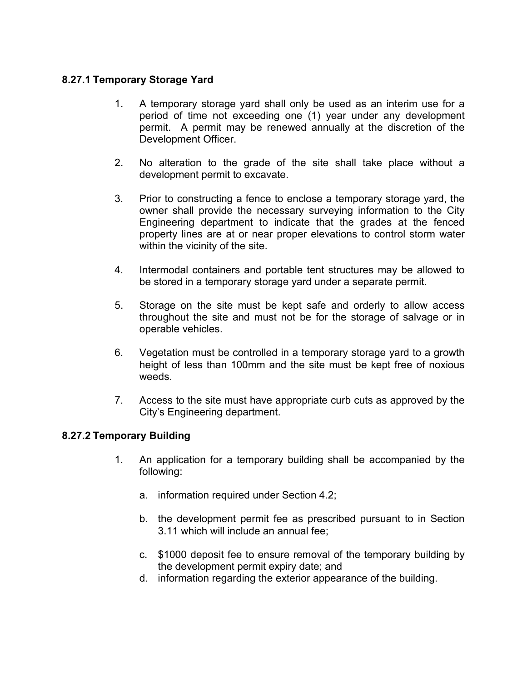## **8.27.1 Temporary Storage Yard**

- 1. A temporary storage yard shall only be used as an interim use for a period of time not exceeding one (1) year under any development permit. A permit may be renewed annually at the discretion of the Development Officer.
- 2. No alteration to the grade of the site shall take place without a development permit to excavate.
- 3. Prior to constructing a fence to enclose a temporary storage yard, the owner shall provide the necessary surveying information to the City Engineering department to indicate that the grades at the fenced property lines are at or near proper elevations to control storm water within the vicinity of the site.
- 4. Intermodal containers and portable tent structures may be allowed to be stored in a temporary storage yard under a separate permit.
- 5. Storage on the site must be kept safe and orderly to allow access throughout the site and must not be for the storage of salvage or in operable vehicles.
- 6. Vegetation must be controlled in a temporary storage yard to a growth height of less than 100mm and the site must be kept free of noxious weeds.
- 7. Access to the site must have appropriate curb cuts as approved by the City's Engineering department.

## **8.27.2 Temporary Building**

- 1. An application for a temporary building shall be accompanied by the following:
	- a. information required under Section 4.2;
	- b. the development permit fee as prescribed pursuant to in Section 3.11 which will include an annual fee;
	- c. \$1000 deposit fee to ensure removal of the temporary building by the development permit expiry date; and
	- d. information regarding the exterior appearance of the building.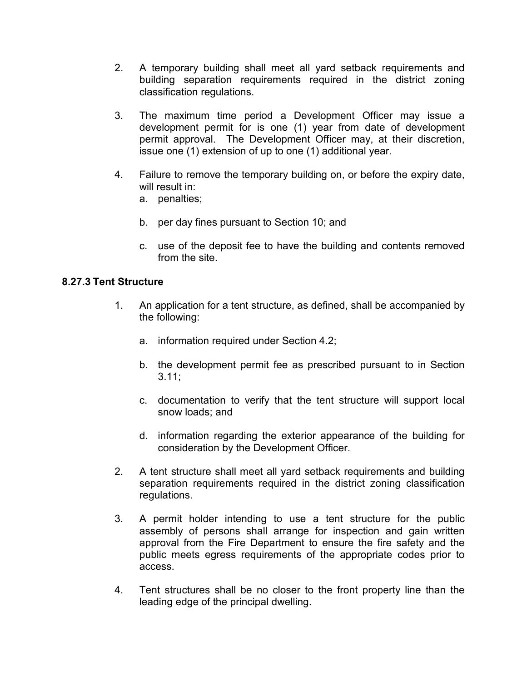- 2. A temporary building shall meet all yard setback requirements and building separation requirements required in the district zoning classification regulations.
- 3. The maximum time period a Development Officer may issue a development permit for is one (1) year from date of development permit approval. The Development Officer may, at their discretion, issue one (1) extension of up to one (1) additional year.
- 4. Failure to remove the temporary building on, or before the expiry date, will result in:
	- a. penalties;
	- b. per day fines pursuant to Section 10; and
	- c. use of the deposit fee to have the building and contents removed from the site.

## **8.27.3 Tent Structure**

- 1. An application for a tent structure, as defined, shall be accompanied by the following:
	- a. information required under Section 4.2;
	- b. the development permit fee as prescribed pursuant to in Section 3.11;
	- c. documentation to verify that the tent structure will support local snow loads; and
	- d. information regarding the exterior appearance of the building for consideration by the Development Officer.
- 2. A tent structure shall meet all yard setback requirements and building separation requirements required in the district zoning classification regulations.
- 3. A permit holder intending to use a tent structure for the public assembly of persons shall arrange for inspection and gain written approval from the Fire Department to ensure the fire safety and the public meets egress requirements of the appropriate codes prior to access.
- 4. Tent structures shall be no closer to the front property line than the leading edge of the principal dwelling.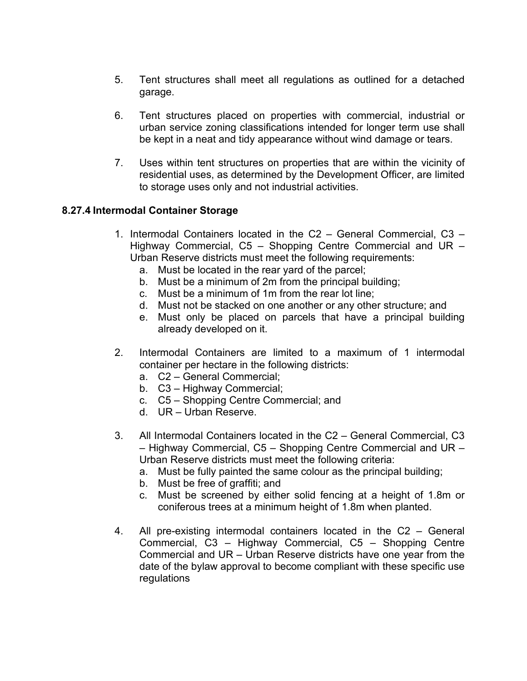- 5. Tent structures shall meet all regulations as outlined for a detached garage.
- 6. Tent structures placed on properties with commercial, industrial or urban service zoning classifications intended for longer term use shall be kept in a neat and tidy appearance without wind damage or tears.
- 7. Uses within tent structures on properties that are within the vicinity of residential uses, as determined by the Development Officer, are limited to storage uses only and not industrial activities.

## **8.27.4 Intermodal Container Storage**

- 1. Intermodal Containers located in the C2 General Commercial, C3 Highway Commercial, C5 – Shopping Centre Commercial and UR – Urban Reserve districts must meet the following requirements:
	- a. Must be located in the rear yard of the parcel;
	- b. Must be a minimum of 2m from the principal building;
	- c. Must be a minimum of 1m from the rear lot line;
	- d. Must not be stacked on one another or any other structure; and
	- e. Must only be placed on parcels that have a principal building already developed on it.
- 2. Intermodal Containers are limited to a maximum of 1 intermodal container per hectare in the following districts:
	- a. C2 General Commercial;
	- b. C3 Highway Commercial;
	- c. C5 Shopping Centre Commercial; and
	- d. UR Urban Reserve.
- 3. All Intermodal Containers located in the C2 General Commercial, C3 – Highway Commercial, C5 – Shopping Centre Commercial and UR – Urban Reserve districts must meet the following criteria:
	- a. Must be fully painted the same colour as the principal building;
	- b. Must be free of graffiti; and
	- c. Must be screened by either solid fencing at a height of 1.8m or coniferous trees at a minimum height of 1.8m when planted.
- 4. All pre-existing intermodal containers located in the C2 General Commercial, C3 – Highway Commercial, C5 – Shopping Centre Commercial and UR – Urban Reserve districts have one year from the date of the bylaw approval to become compliant with these specific use regulations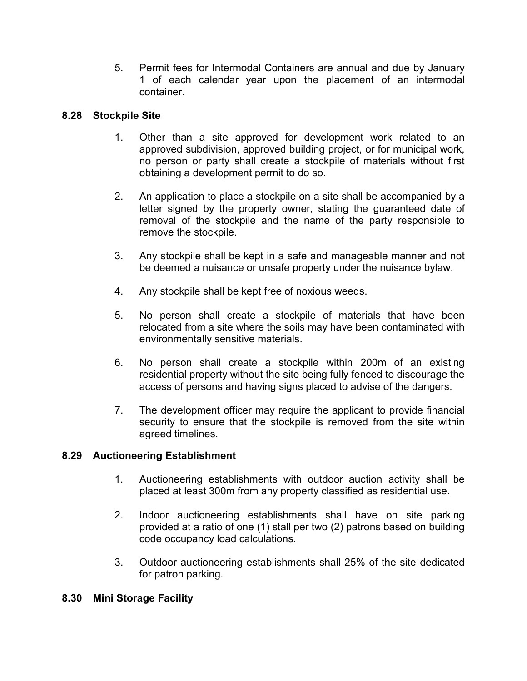5. Permit fees for Intermodal Containers are annual and due by January 1 of each calendar year upon the placement of an intermodal container.

## **8.28 Stockpile Site**

- 1. Other than a site approved for development work related to an approved subdivision, approved building project, or for municipal work, no person or party shall create a stockpile of materials without first obtaining a development permit to do so.
- 2. An application to place a stockpile on a site shall be accompanied by a letter signed by the property owner, stating the guaranteed date of removal of the stockpile and the name of the party responsible to remove the stockpile.
- 3. Any stockpile shall be kept in a safe and manageable manner and not be deemed a nuisance or unsafe property under the nuisance bylaw.
- 4. Any stockpile shall be kept free of noxious weeds.
- 5. No person shall create a stockpile of materials that have been relocated from a site where the soils may have been contaminated with environmentally sensitive materials.
- 6. No person shall create a stockpile within 200m of an existing residential property without the site being fully fenced to discourage the access of persons and having signs placed to advise of the dangers.
- 7. The development officer may require the applicant to provide financial security to ensure that the stockpile is removed from the site within agreed timelines.

#### **8.29 Auctioneering Establishment**

- 1. Auctioneering establishments with outdoor auction activity shall be placed at least 300m from any property classified as residential use.
- 2. Indoor auctioneering establishments shall have on site parking provided at a ratio of one (1) stall per two (2) patrons based on building code occupancy load calculations.
- 3. Outdoor auctioneering establishments shall 25% of the site dedicated for patron parking.

#### **8.30 Mini Storage Facility**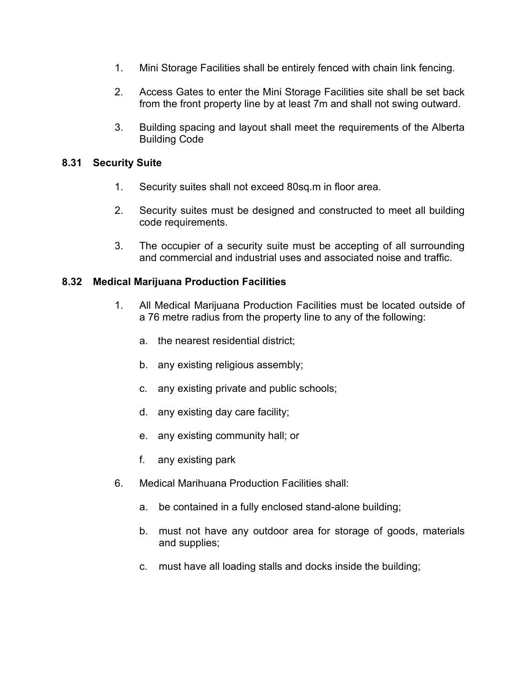- 1. Mini Storage Facilities shall be entirely fenced with chain link fencing.
- 2. Access Gates to enter the Mini Storage Facilities site shall be set back from the front property line by at least 7m and shall not swing outward.
- 3. Building spacing and layout shall meet the requirements of the Alberta Building Code

### **8.31 Security Suite**

- 1. Security suites shall not exceed 80sq.m in floor area.
- 2. Security suites must be designed and constructed to meet all building code requirements.
- 3. The occupier of a security suite must be accepting of all surrounding and commercial and industrial uses and associated noise and traffic.

## **8.32 Medical Marijuana Production Facilities**

- 1. All Medical Marijuana Production Facilities must be located outside of a 76 metre radius from the property line to any of the following:
	- a. the nearest residential district;
	- b. any existing religious assembly;
	- c. any existing private and public schools;
	- d. any existing day care facility;
	- e. any existing community hall; or
	- f. any existing park
- 6. Medical Marihuana Production Facilities shall:
	- a. be contained in a fully enclosed stand-alone building;
	- b. must not have any outdoor area for storage of goods, materials and supplies;
	- c. must have all loading stalls and docks inside the building;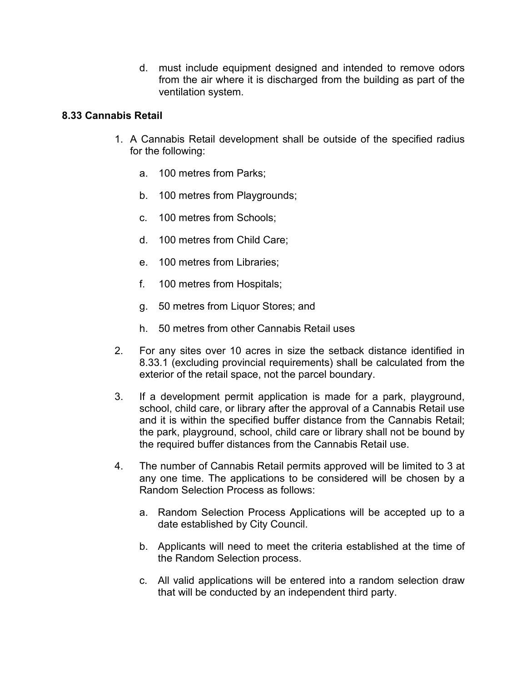d. must include equipment designed and intended to remove odors from the air where it is discharged from the building as part of the ventilation system.

## **8.33 Cannabis Retail**

- 1. A Cannabis Retail development shall be outside of the specified radius for the following:
	- a. 100 metres from Parks;
	- b. 100 metres from Playgrounds;
	- c. 100 metres from Schools;
	- d. 100 metres from Child Care;
	- e. 100 metres from Libraries;
	- f. 100 metres from Hospitals;
	- g. 50 metres from Liquor Stores; and
	- h. 50 metres from other Cannabis Retail uses
- 2. For any sites over 10 acres in size the setback distance identified in 8.33.1 (excluding provincial requirements) shall be calculated from the exterior of the retail space, not the parcel boundary.
- 3. If a development permit application is made for a park, playground, school, child care, or library after the approval of a Cannabis Retail use and it is within the specified buffer distance from the Cannabis Retail; the park, playground, school, child care or library shall not be bound by the required buffer distances from the Cannabis Retail use.
- 4. The number of Cannabis Retail permits approved will be limited to 3 at any one time. The applications to be considered will be chosen by a Random Selection Process as follows:
	- a. Random Selection Process Applications will be accepted up to a date established by City Council.
	- b. Applicants will need to meet the criteria established at the time of the Random Selection process.
	- c. All valid applications will be entered into a random selection draw that will be conducted by an independent third party.